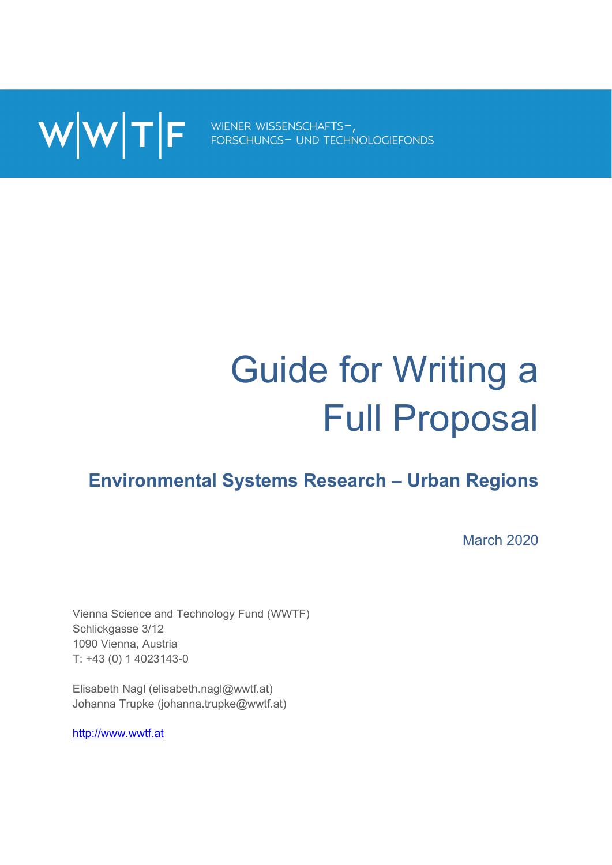

# Guide for Writing a Full Proposal

# **Environmental Systems Research – Urban Regions**

March 2020

Vienna Science and Technology Fund (WWTF) Schlickgasse 3/12 1090 Vienna, Austria T: +43 (0) 1 4023143-0

Elisabeth Nagl (elisabeth.nagl@wwtf.at) Johanna Trupke (johanna.trupke@wwtf.at)

http://www.wwtf.at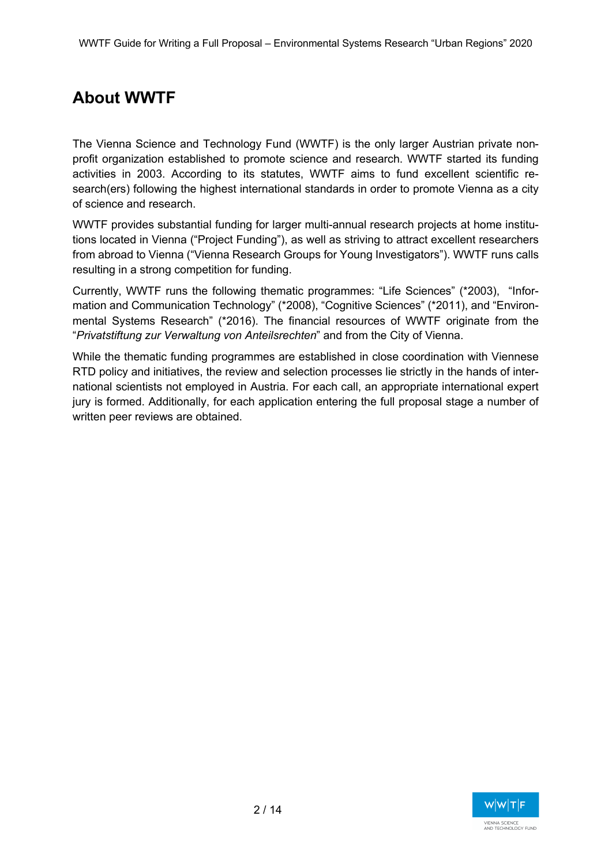# **About WWTF**

The Vienna Science and Technology Fund (WWTF) is the only larger Austrian private nonprofit organization established to promote science and research. WWTF started its funding activities in 2003. According to its statutes, WWTF aims to fund excellent scientific research(ers) following the highest international standards in order to promote Vienna as a city of science and research.

WWTF provides substantial funding for larger multi-annual research projects at home institutions located in Vienna ("Project Funding"), as well as striving to attract excellent researchers from abroad to Vienna ("Vienna Research Groups for Young Investigators"). WWTF runs calls resulting in a strong competition for funding.

Currently, WWTF runs the following thematic programmes: "Life Sciences" (\*2003), "Information and Communication Technology" (\*2008), "Cognitive Sciences" (\*2011), and "Environmental Systems Research" (\*2016). The financial resources of WWTF originate from the "*Privatstiftung zur Verwaltung von Anteilsrechten*" and from the City of Vienna.

While the thematic funding programmes are established in close coordination with Viennese RTD policy and initiatives, the review and selection processes lie strictly in the hands of international scientists not employed in Austria. For each call, an appropriate international expert jury is formed. Additionally, for each application entering the full proposal stage a number of written peer reviews are obtained.

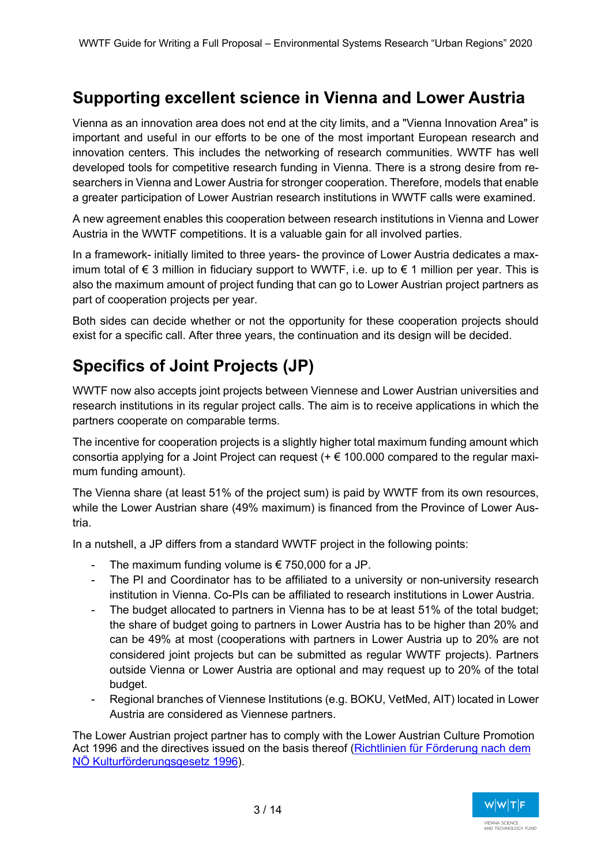# **Supporting excellent science in Vienna and Lower Austria**

Vienna as an innovation area does not end at the city limits, and a "Vienna Innovation Area" is important and useful in our efforts to be one of the most important European research and innovation centers. This includes the networking of research communities. WWTF has well developed tools for competitive research funding in Vienna. There is a strong desire from researchers in Vienna and Lower Austria for stronger cooperation. Therefore, models that enable a greater participation of Lower Austrian research institutions in WWTF calls were examined.

A new agreement enables this cooperation between research institutions in Vienna and Lower Austria in the WWTF competitions. It is a valuable gain for all involved parties.

In a framework- initially limited to three years- the province of Lower Austria dedicates a maximum total of € 3 million in fiduciary support to WWTF, i.e. up to € 1 million per year. This is also the maximum amount of project funding that can go to Lower Austrian project partners as part of cooperation projects per year.

Both sides can decide whether or not the opportunity for these cooperation projects should exist for a specific call. After three years, the continuation and its design will be decided.

# **Specifics of Joint Projects (JP)**

WWTF now also accepts joint projects between Viennese and Lower Austrian universities and research institutions in its regular project calls. The aim is to receive applications in which the partners cooperate on comparable terms.

The incentive for cooperation projects is a slightly higher total maximum funding amount which consortia applying for a Joint Project can request (+ € 100.000 compared to the regular maximum funding amount).

The Vienna share (at least 51% of the project sum) is paid by WWTF from its own resources, while the Lower Austrian share (49% maximum) is financed from the Province of Lower Austria.

In a nutshell, a JP differs from a standard WWTF project in the following points:

- The maximum funding volume is  $\epsilon$  750,000 for a JP.
- The PI and Coordinator has to be affiliated to a university or non-university research institution in Vienna. Co-PIs can be affiliated to research institutions in Lower Austria.
- The budget allocated to partners in Vienna has to be at least 51% of the total budget; the share of budget going to partners in Lower Austria has to be higher than 20% and can be 49% at most (cooperations with partners in Lower Austria up to 20% are not considered joint projects but can be submitted as regular WWTF projects). Partners outside Vienna or Lower Austria are optional and may request up to 20% of the total budget.
- Regional branches of Viennese Institutions (e.g. BOKU, VetMed, AIT) located in Lower Austria are considered as Viennese partners.

The Lower Austrian project partner has to comply with the Lower Austrian Culture Promotion Act 1996 and the directives issued on the basis thereof (Richtlinien für Förderung nach dem NÖ Kulturförderungsgesetz 1996).

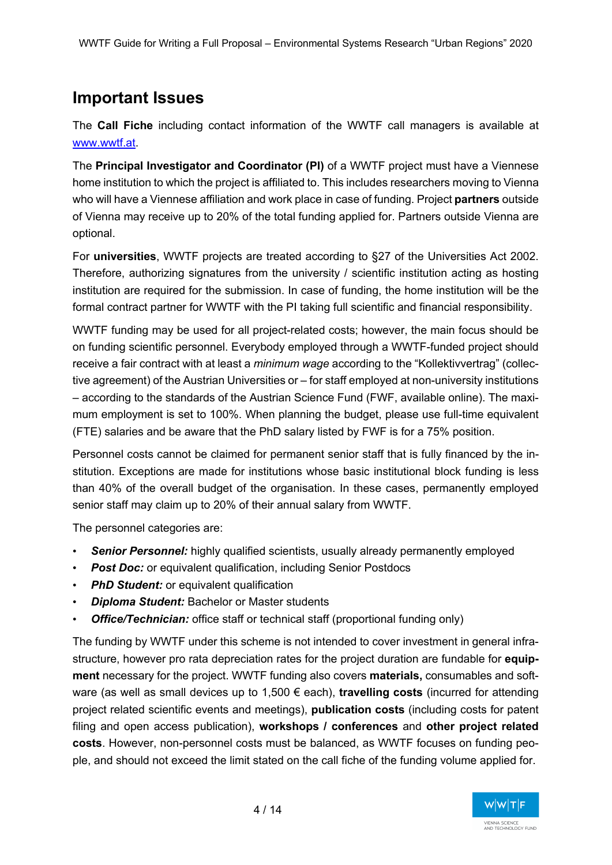# **Important Issues**

The **Call Fiche** including contact information of the WWTF call managers is available at www.wwtf.at.

The **Principal Investigator and Coordinator (PI)** of a WWTF project must have a Viennese home institution to which the project is affiliated to. This includes researchers moving to Vienna who will have a Viennese affiliation and work place in case of funding. Project **partners** outside of Vienna may receive up to 20% of the total funding applied for. Partners outside Vienna are optional.

For **universities**, WWTF projects are treated according to §27 of the Universities Act 2002. Therefore, authorizing signatures from the university / scientific institution acting as hosting institution are required for the submission. In case of funding, the home institution will be the formal contract partner for WWTF with the PI taking full scientific and financial responsibility.

WWTF funding may be used for all project-related costs; however, the main focus should be on funding scientific personnel. Everybody employed through a WWTF-funded project should receive a fair contract with at least a *minimum wage* according to the "Kollektivvertrag" (collective agreement) of the Austrian Universities or – for staff employed at non-university institutions – according to the standards of the Austrian Science Fund (FWF, available online). The maximum employment is set to 100%. When planning the budget, please use full-time equivalent (FTE) salaries and be aware that the PhD salary listed by FWF is for a 75% position.

Personnel costs cannot be claimed for permanent senior staff that is fully financed by the institution. Exceptions are made for institutions whose basic institutional block funding is less than 40% of the overall budget of the organisation. In these cases, permanently employed senior staff may claim up to 20% of their annual salary from WWTF.

The personnel categories are:

- **Senior Personnel:** highly qualified scientists, usually already permanently employed
- **Post Doc:** or equivalent qualification, including Senior Postdocs
- *PhD Student:* or equivalent qualification
- *Diploma Student:* Bachelor or Master students
- *Office/Technician:* office staff or technical staff (proportional funding only)

The funding by WWTF under this scheme is not intended to cover investment in general infrastructure, however pro rata depreciation rates for the project duration are fundable for **equipment** necessary for the project. WWTF funding also covers **materials,** consumables and software (as well as small devices up to 1,500 € each), **travelling costs** (incurred for attending project related scientific events and meetings), **publication costs** (including costs for patent filing and open access publication), **workshops / conferences** and **other project related costs**. However, non-personnel costs must be balanced, as WWTF focuses on funding people, and should not exceed the limit stated on the call fiche of the funding volume applied for.

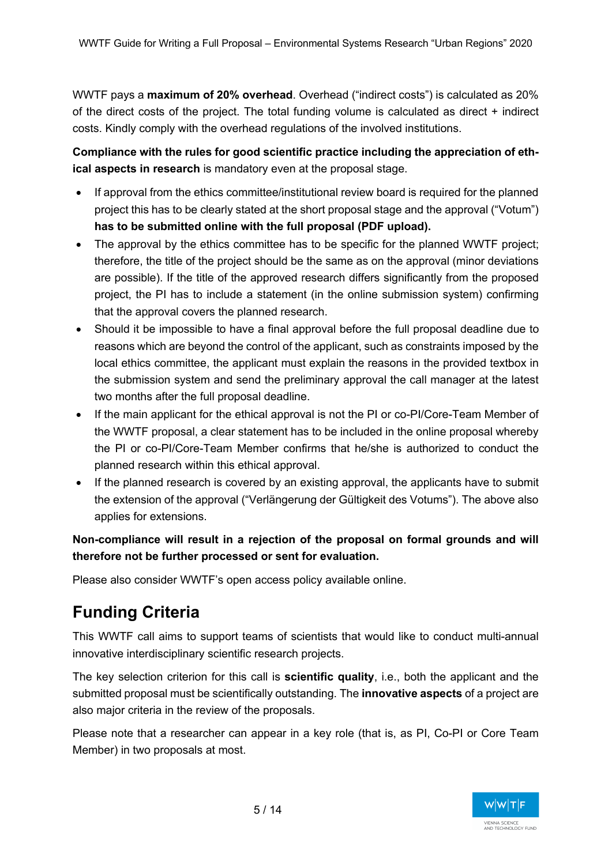WWTF pays a **maximum of 20% overhead**. Overhead ("indirect costs") is calculated as 20% of the direct costs of the project. The total funding volume is calculated as direct + indirect costs. Kindly comply with the overhead regulations of the involved institutions.

**Compliance with the rules for good scientific practice including the appreciation of ethical aspects in research** is mandatory even at the proposal stage.

- If approval from the ethics committee/institutional review board is required for the planned project this has to be clearly stated at the short proposal stage and the approval ("Votum") **has to be submitted online with the full proposal (PDF upload).**
- The approval by the ethics committee has to be specific for the planned WWTF project; therefore, the title of the project should be the same as on the approval (minor deviations are possible). If the title of the approved research differs significantly from the proposed project, the PI has to include a statement (in the online submission system) confirming that the approval covers the planned research.
- Should it be impossible to have a final approval before the full proposal deadline due to reasons which are beyond the control of the applicant, such as constraints imposed by the local ethics committee, the applicant must explain the reasons in the provided textbox in the submission system and send the preliminary approval the call manager at the latest two months after the full proposal deadline.
- If the main applicant for the ethical approval is not the PI or co-PI/Core-Team Member of the WWTF proposal, a clear statement has to be included in the online proposal whereby the PI or co-PI/Core-Team Member confirms that he/she is authorized to conduct the planned research within this ethical approval.
- If the planned research is covered by an existing approval, the applicants have to submit the extension of the approval ("Verlängerung der Gültigkeit des Votums"). The above also applies for extensions.

**Non-compliance will result in a rejection of the proposal on formal grounds and will therefore not be further processed or sent for evaluation.** 

Please also consider WWTF's open access policy available online.

# **Funding Criteria**

This WWTF call aims to support teams of scientists that would like to conduct multi-annual innovative interdisciplinary scientific research projects.

The key selection criterion for this call is **scientific quality**, i.e., both the applicant and the submitted proposal must be scientifically outstanding. The **innovative aspects** of a project are also major criteria in the review of the proposals.

Please note that a researcher can appear in a key role (that is, as PI, Co-PI or Core Team Member) in two proposals at most.

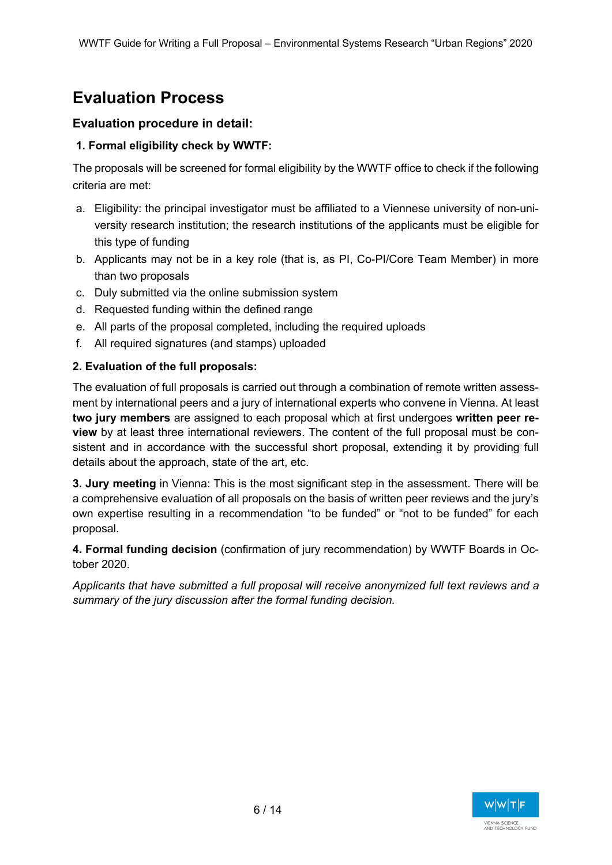# **Evaluation Process**

## **Evaluation procedure in detail:**

## **1. Formal eligibility check by WWTF:**

The proposals will be screened for formal eligibility by the WWTF office to check if the following criteria are met:

- a. Eligibility: the principal investigator must be affiliated to a Viennese university of non-university research institution; the research institutions of the applicants must be eligible for this type of funding
- b. Applicants may not be in a key role (that is, as PI, Co-PI/Core Team Member) in more than two proposals
- c. Duly submitted via the online submission system
- d. Requested funding within the defined range
- e. All parts of the proposal completed, including the required uploads
- f. All required signatures (and stamps) uploaded

## **2. Evaluation of the full proposals:**

The evaluation of full proposals is carried out through a combination of remote written assessment by international peers and a jury of international experts who convene in Vienna. At least **two jury members** are assigned to each proposal which at first undergoes **written peer review** by at least three international reviewers. The content of the full proposal must be consistent and in accordance with the successful short proposal, extending it by providing full details about the approach, state of the art, etc.

**3. Jury meeting** in Vienna: This is the most significant step in the assessment. There will be a comprehensive evaluation of all proposals on the basis of written peer reviews and the jury's own expertise resulting in a recommendation "to be funded" or "not to be funded" for each proposal.

**4. Formal funding decision** (confirmation of jury recommendation) by WWTF Boards in October 2020.

*Applicants that have submitted a full proposal will receive anonymized full text reviews and a summary of the jury discussion after the formal funding decision.*

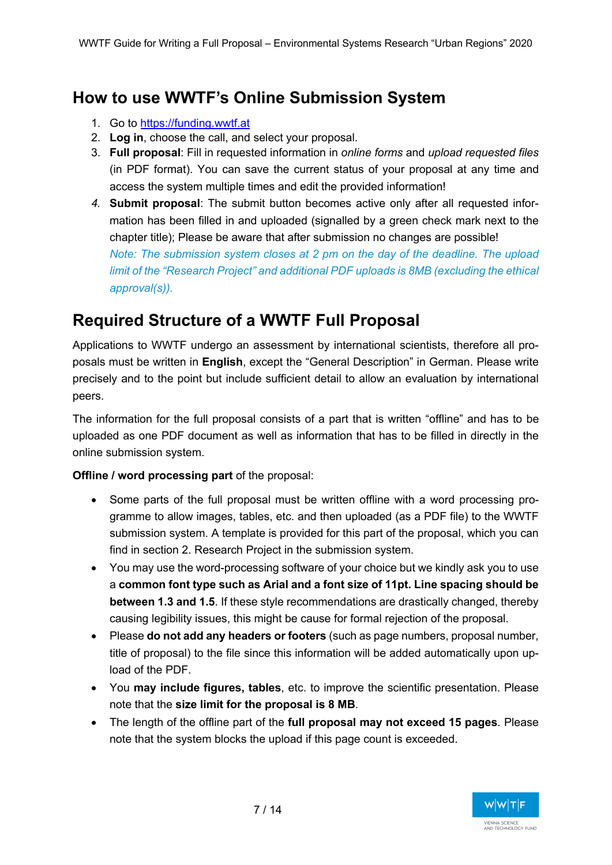# **How to use WWTF's Online Submission System**

- 1. Go to https://funding.wwtf.at
- 2. **Log in**, choose the call, and select your proposal.
- 3. **Full proposal**: Fill in requested information in *online forms* and *upload requested files* (in PDF format). You can save the current status of your proposal at any time and access the system multiple times and edit the provided information!
- *4.* **Submit proposal**: The submit button becomes active only after all requested information has been filled in and uploaded (signalled by a green check mark next to the chapter title); Please be aware that after submission no changes are possible! *Note: The submission system closes at 2 pm on the day of the deadline. The upload limit of the "Research Project" and additional PDF uploads is 8MB (excluding the ethical approval(s)).*

# **Required Structure of a WWTF Full Proposal**

Applications to WWTF undergo an assessment by international scientists, therefore all proposals must be written in **English**, except the "General Description" in German. Please write precisely and to the point but include sufficient detail to allow an evaluation by international peers.

The information for the full proposal consists of a part that is written "offline" and has to be uploaded as one PDF document as well as information that has to be filled in directly in the online submission system.

**Offline / word processing part** of the proposal:

- Some parts of the full proposal must be written offline with a word processing programme to allow images, tables, etc. and then uploaded (as a PDF file) to the WWTF submission system. A template is provided for this part of the proposal, which you can find in section 2. Research Project in the submission system.
- You may use the word-processing software of your choice but we kindly ask you to use a **common font type such as Arial and a font size of 11pt. Line spacing should be between 1.3 and 1.5**. If these style recommendations are drastically changed, thereby causing legibility issues, this might be cause for formal rejection of the proposal.
- Please **do not add any headers or footers** (such as page numbers, proposal number, title of proposal) to the file since this information will be added automatically upon upload of the PDF.
- You **may include figures, tables**, etc. to improve the scientific presentation. Please note that the **size limit for the proposal is 8 MB**.
- The length of the offline part of the **full proposal may not exceed 15 pages**. Please note that the system blocks the upload if this page count is exceeded.

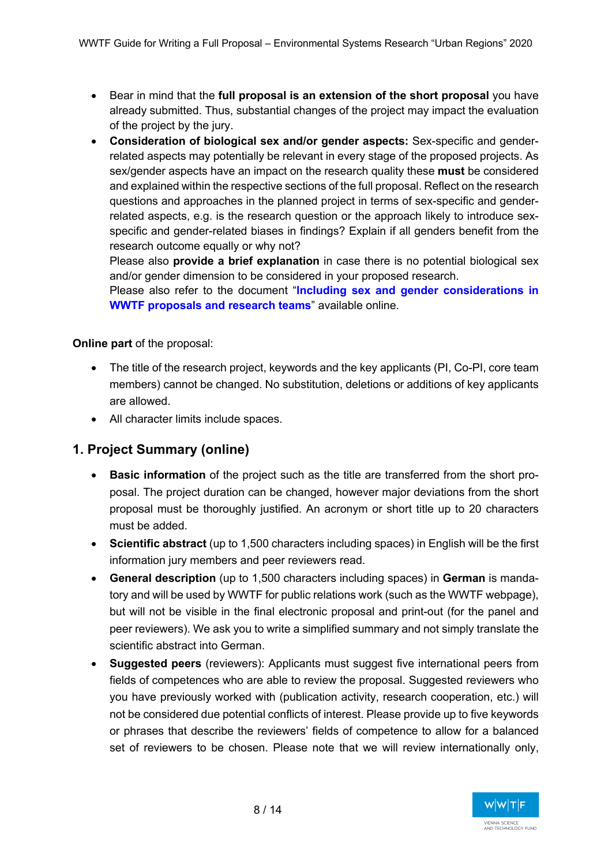- Bear in mind that the **full proposal is an extension of the short proposal** you have already submitted. Thus, substantial changes of the project may impact the evaluation of the project by the jury.
- **Consideration of biological sex and/or gender aspects:** Sex-specific and genderrelated aspects may potentially be relevant in every stage of the proposed projects. As sex/gender aspects have an impact on the research quality these **must** be considered and explained within the respective sections of the full proposal. Reflect on the research questions and approaches in the planned project in terms of sex-specific and genderrelated aspects, e.g. is the research question or the approach likely to introduce sexspecific and gender-related biases in findings? Explain if all genders benefit from the research outcome equally or why not?

Please also **provide a brief explanation** in case there is no potential biological sex and/or gender dimension to be considered in your proposed research.

Please also refer to the document "**Including sex and gender considerations in WWTF proposals and research teams**" available online.

## **Online part** of the proposal:

- The title of the research project, keywords and the key applicants (PI, Co-PI, core team members) cannot be changed. No substitution, deletions or additions of key applicants are allowed.
- All character limits include spaces.

## **1. Project Summary (online)**

- **Basic information** of the project such as the title are transferred from the short proposal. The project duration can be changed, however major deviations from the short proposal must be thoroughly justified. An acronym or short title up to 20 characters must be added.
- **Scientific abstract** (up to 1,500 characters including spaces) in English will be the first information jury members and peer reviewers read.
- **General description** (up to 1,500 characters including spaces) in **German** is mandatory and will be used by WWTF for public relations work (such as the WWTF webpage), but will not be visible in the final electronic proposal and print-out (for the panel and peer reviewers). We ask you to write a simplified summary and not simply translate the scientific abstract into German.
- **Suggested peers** (reviewers): Applicants must suggest five international peers from fields of competences who are able to review the proposal. Suggested reviewers who you have previously worked with (publication activity, research cooperation, etc.) will not be considered due potential conflicts of interest. Please provide up to five keywords or phrases that describe the reviewers' fields of competence to allow for a balanced set of reviewers to be chosen. Please note that we will review internationally only,

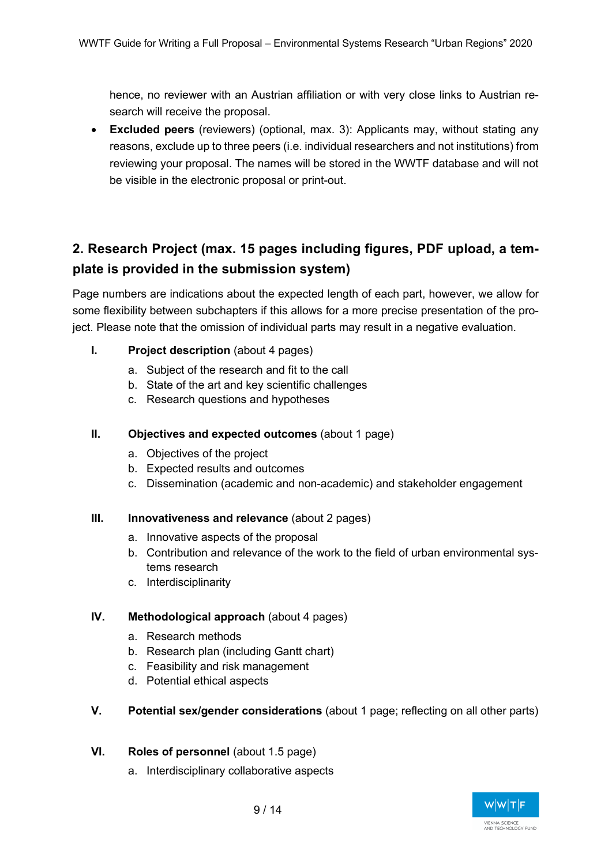hence, no reviewer with an Austrian affiliation or with very close links to Austrian research will receive the proposal.

• **Excluded peers** (reviewers) (optional, max. 3): Applicants may, without stating any reasons, exclude up to three peers (i.e. individual researchers and not institutions) from reviewing your proposal. The names will be stored in the WWTF database and will not be visible in the electronic proposal or print-out.

## **2. Research Project (max. 15 pages including figures, PDF upload, a template is provided in the submission system)**

Page numbers are indications about the expected length of each part, however, we allow for some flexibility between subchapters if this allows for a more precise presentation of the project. Please note that the omission of individual parts may result in a negative evaluation.

- **I. Project description** (about 4 pages)
	- a. Subject of the research and fit to the call
	- b. State of the art and key scientific challenges
	- c. Research questions and hypotheses

## **II. Objectives and expected outcomes** (about 1 page)

- a. Objectives of the project
- b. Expected results and outcomes
- c. Dissemination (academic and non-academic) and stakeholder engagement

## **III. Innovativeness and relevance** (about 2 pages)

- a. Innovative aspects of the proposal
- b. Contribution and relevance of the work to the field of urban environmental systems research
- c. Interdisciplinarity

## **IV. Methodological approach** (about 4 pages)

- a. Research methods
- b. Research plan (including Gantt chart)
- c. Feasibility and risk management
- d. Potential ethical aspects

## **V. Potential sex/gender considerations** (about 1 page; reflecting on all other parts)

## **VI. Roles of personnel** (about 1.5 page)

a. Interdisciplinary collaborative aspects

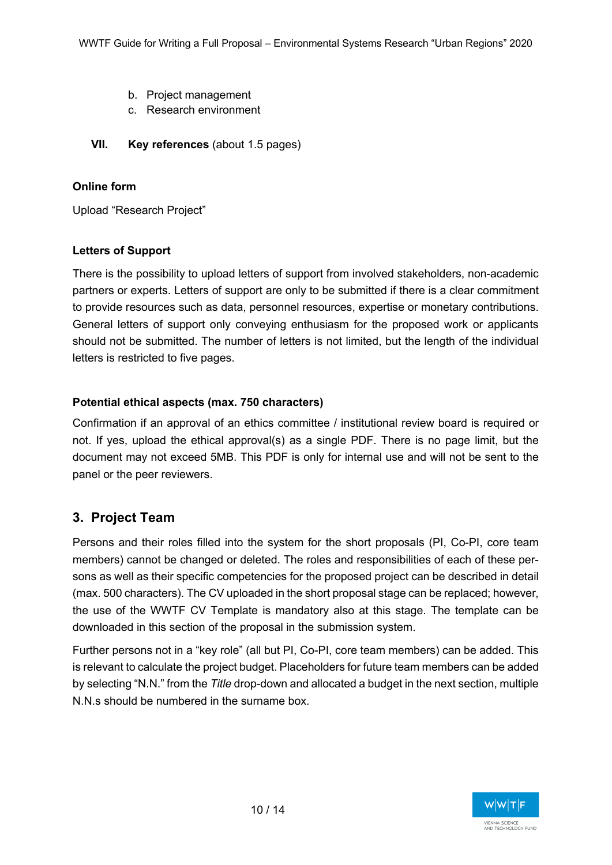- b. Project management
- c. Research environment
- **VII. Key references** (about 1.5 pages)

## **Online form**

Upload "Research Project"

### **Letters of Support**

There is the possibility to upload letters of support from involved stakeholders, non-academic partners or experts. Letters of support are only to be submitted if there is a clear commitment to provide resources such as data, personnel resources, expertise or monetary contributions. General letters of support only conveying enthusiasm for the proposed work or applicants should not be submitted. The number of letters is not limited, but the length of the individual letters is restricted to five pages.

### **Potential ethical aspects (max. 750 characters)**

Confirmation if an approval of an ethics committee / institutional review board is required or not. If yes, upload the ethical approval(s) as a single PDF. There is no page limit, but the document may not exceed 5MB. This PDF is only for internal use and will not be sent to the panel or the peer reviewers.

## **3. Project Team**

Persons and their roles filled into the system for the short proposals (PI, Co-PI, core team members) cannot be changed or deleted. The roles and responsibilities of each of these persons as well as their specific competencies for the proposed project can be described in detail (max. 500 characters). The CV uploaded in the short proposal stage can be replaced; however, the use of the WWTF CV Template is mandatory also at this stage. The template can be downloaded in this section of the proposal in the submission system.

Further persons not in a "key role" (all but PI, Co-PI, core team members) can be added. This is relevant to calculate the project budget. Placeholders for future team members can be added by selecting "N.N." from the *Title* drop-down and allocated a budget in the next section, multiple N.N.s should be numbered in the surname box.

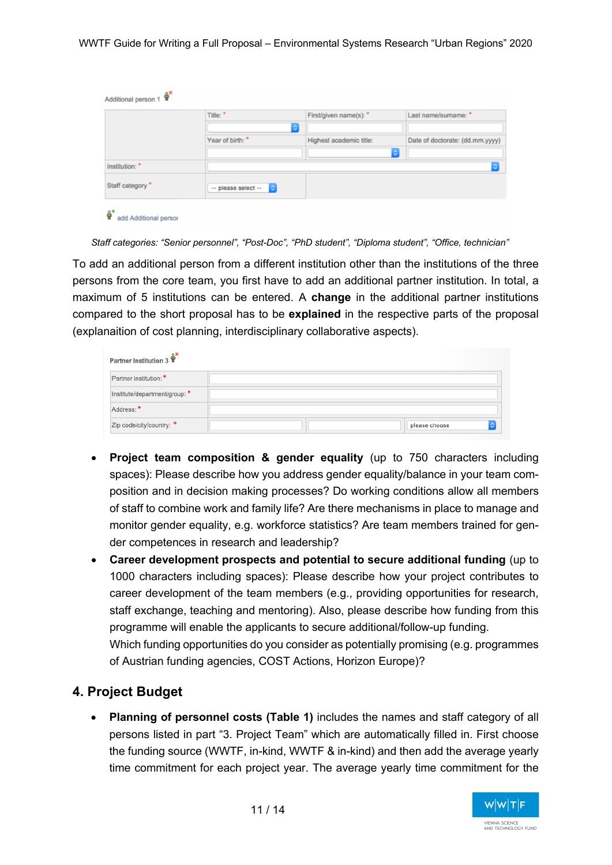|                  | Title: *              | First/given name(s): *       | Last name/sumame: *             |
|------------------|-----------------------|------------------------------|---------------------------------|
|                  | Year of birth: *      | ۰<br>Highest academic title: | Date of doctorate: (dd.mm.yyyy) |
|                  |                       |                              | l c                             |
| Institution: *   |                       |                              | ٥                               |
| Staff category * | -- please select -- C |                              |                                 |

add Additional perso

*Staff categories: "Senior personnel", "Post-Doc", "PhD student", "Diploma student", "Office, technician"* 

To add an additional person from a different institution other than the institutions of the three persons from the core team, you first have to add an additional partner institution. In total, a maximum of 5 institutions can be entered. A **change** in the additional partner institutions compared to the short proposal has to be **explained** in the respective parts of the proposal (explanaition of cost planning, interdisciplinary collaborative aspects).

| Partner Institution 3         |               |
|-------------------------------|---------------|
| Partner institution: *        |               |
| Institute/department/group: * |               |
| Address: *                    |               |
| Zip code/city/country: *      | please choose |

- **Project team composition & gender equality** (up to 750 characters including spaces): Please describe how you address gender equality/balance in your team composition and in decision making processes? Do working conditions allow all members of staff to combine work and family life? Are there mechanisms in place to manage and monitor gender equality, e.g. workforce statistics? Are team members trained for gender competences in research and leadership?
- **Career development prospects and potential to secure additional funding** (up to 1000 characters including spaces): Please describe how your project contributes to career development of the team members (e.g., providing opportunities for research, staff exchange, teaching and mentoring). Also, please describe how funding from this programme will enable the applicants to secure additional/follow-up funding. Which funding opportunities do you consider as potentially promising (e.g. programmes of Austrian funding agencies, COST Actions, Horizon Europe)?

## **4. Project Budget**

• **Planning of personnel costs (Table 1)** includes the names and staff category of all persons listed in part "3. Project Team" which are automatically filled in. First choose the funding source (WWTF, in-kind, WWTF & in-kind) and then add the average yearly time commitment for each project year. The average yearly time commitment for the

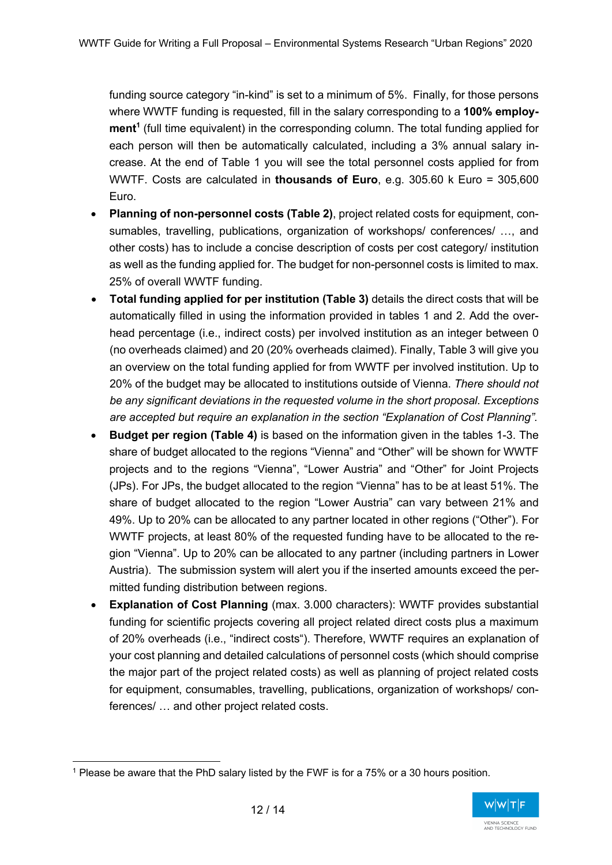funding source category "in-kind" is set to a minimum of 5%. Finally, for those persons where WWTF funding is requested, fill in the salary corresponding to a **100% employ**ment<sup>1</sup> (full time equivalent) in the corresponding column. The total funding applied for each person will then be automatically calculated, including a 3% annual salary increase. At the end of Table 1 you will see the total personnel costs applied for from WWTF. Costs are calculated in **thousands of Euro**, e.g. 305.60 k Euro = 305,600 Euro.

- **Planning of non-personnel costs (Table 2)**, project related costs for equipment, consumables, travelling, publications, organization of workshops/ conferences/ …, and other costs) has to include a concise description of costs per cost category/ institution as well as the funding applied for. The budget for non-personnel costs is limited to max. 25% of overall WWTF funding.
- **Total funding applied for per institution (Table 3)** details the direct costs that will be automatically filled in using the information provided in tables 1 and 2. Add the overhead percentage (i.e., indirect costs) per involved institution as an integer between 0 (no overheads claimed) and 20 (20% overheads claimed). Finally, Table 3 will give you an overview on the total funding applied for from WWTF per involved institution. Up to 20% of the budget may be allocated to institutions outside of Vienna. *There should not be any significant deviations in the requested volume in the short proposal. Exceptions are accepted but require an explanation in the section "Explanation of Cost Planning".*
- **Budget per region (Table 4)** is based on the information given in the tables 1-3. The share of budget allocated to the regions "Vienna" and "Other" will be shown for WWTF projects and to the regions "Vienna", "Lower Austria" and "Other" for Joint Projects (JPs). For JPs, the budget allocated to the region "Vienna" has to be at least 51%. The share of budget allocated to the region "Lower Austria" can vary between 21% and 49%. Up to 20% can be allocated to any partner located in other regions ("Other"). For WWTF projects, at least 80% of the requested funding have to be allocated to the region "Vienna". Up to 20% can be allocated to any partner (including partners in Lower Austria). The submission system will alert you if the inserted amounts exceed the permitted funding distribution between regions.
- **Explanation of Cost Planning** (max. 3.000 characters): WWTF provides substantial funding for scientific projects covering all project related direct costs plus a maximum of 20% overheads (i.e., "indirect costs"). Therefore, WWTF requires an explanation of your cost planning and detailed calculations of personnel costs (which should comprise the major part of the project related costs) as well as planning of project related costs for equipment, consumables, travelling, publications, organization of workshops/ conferences/ … and other project related costs.

<sup>1</sup> Please be aware that the PhD salary listed by the FWF is for a 75% or a 30 hours position.

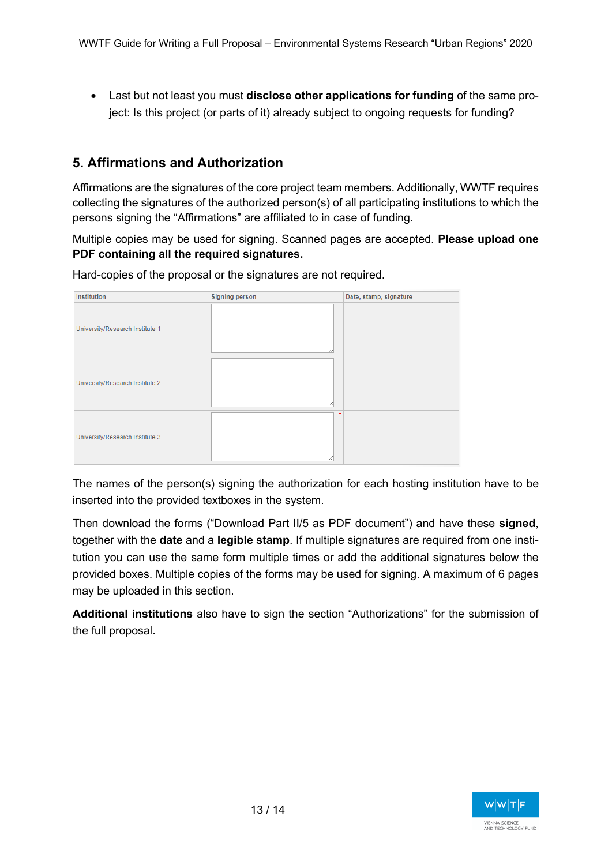• Last but not least you must **disclose other applications for funding** of the same project: Is this project (or parts of it) already subject to ongoing requests for funding?

## **5. Affirmations and Authorization**

Affirmations are the signatures of the core project team members. Additionally, WWTF requires collecting the signatures of the authorized person(s) of all participating institutions to which the persons signing the "Affirmations" are affiliated to in case of funding.

Multiple copies may be used for signing. Scanned pages are accepted. **Please upload one PDF containing all the required signatures.**

Institution **Signing person** Date, stamp, signature University/Research Institute 1 **Hniversity/Research Institute 2** University/Research Institute 3

Hard-copies of the proposal or the signatures are not required.

The names of the person(s) signing the authorization for each hosting institution have to be inserted into the provided textboxes in the system.

Then download the forms ("Download Part II/5 as PDF document") and have these **signed**, together with the **date** and a **legible stamp**. If multiple signatures are required from one institution you can use the same form multiple times or add the additional signatures below the provided boxes. Multiple copies of the forms may be used for signing. A maximum of 6 pages may be uploaded in this section.

**Additional institutions** also have to sign the section "Authorizations" for the submission of the full proposal.